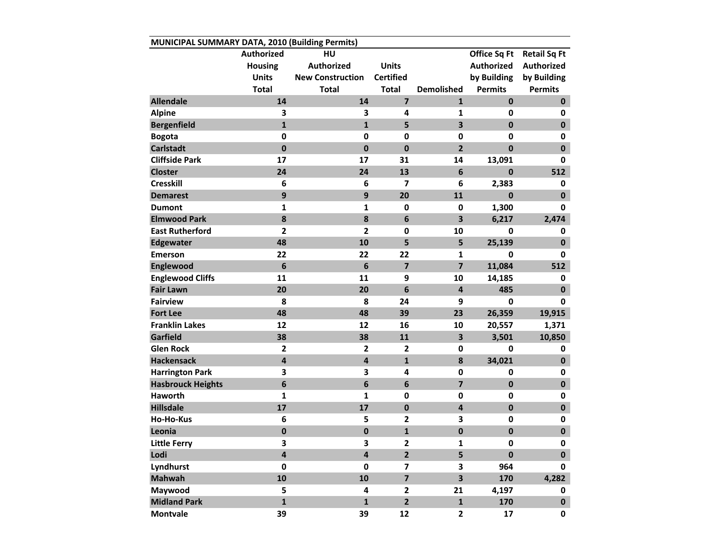| MUNICIPAL SUMMARY DATA, 2010 (Building Permits) |                         |                         |                         |                         |                   |                     |  |  |  |  |
|-------------------------------------------------|-------------------------|-------------------------|-------------------------|-------------------------|-------------------|---------------------|--|--|--|--|
|                                                 | Authorized              | HU                      |                         |                         | Office Sq Ft      | <b>Retail Sq Ft</b> |  |  |  |  |
|                                                 | <b>Housing</b>          | <b>Authorized</b>       | <b>Units</b>            |                         | <b>Authorized</b> | <b>Authorized</b>   |  |  |  |  |
|                                                 | <b>Units</b>            | <b>New Construction</b> | <b>Certified</b>        |                         | by Building       | by Building         |  |  |  |  |
|                                                 | <b>Total</b>            | <b>Total</b>            | <b>Total</b>            | <b>Demolished</b>       | <b>Permits</b>    | <b>Permits</b>      |  |  |  |  |
| <b>Allendale</b>                                | 14                      | 14                      | $\overline{7}$          | $\mathbf{1}$            | $\mathbf 0$       | $\mathbf 0$         |  |  |  |  |
| <b>Alpine</b>                                   | 3                       | 3                       | 4                       | 1                       | 0                 | 0                   |  |  |  |  |
| <b>Bergenfield</b>                              | $\mathbf{1}$            | $\mathbf{1}$            | 5                       | 3                       | $\mathbf 0$       | $\mathbf 0$         |  |  |  |  |
| <b>Bogota</b>                                   | 0                       | $\mathbf 0$             | $\mathbf 0$             | 0                       | 0                 | 0                   |  |  |  |  |
| <b>Carlstadt</b>                                | $\mathbf 0$             | $\mathbf 0$             | $\mathbf 0$             | $\overline{2}$          | $\mathbf{0}$      | $\mathbf 0$         |  |  |  |  |
| <b>Cliffside Park</b>                           | 17                      | 17                      | 31                      | 14                      | 13,091            | 0                   |  |  |  |  |
| <b>Closter</b>                                  | 24                      | 24                      | 13                      | $6\phantom{1}6$         | $\mathbf 0$       | 512                 |  |  |  |  |
| <b>Cresskill</b>                                | 6                       | 6                       | 7                       | 6                       | 2,383             | 0                   |  |  |  |  |
| <b>Demarest</b>                                 | 9                       | 9                       | 20                      | 11                      | 0                 | $\mathbf 0$         |  |  |  |  |
| <b>Dumont</b>                                   | $\mathbf{1}$            | $\mathbf{1}$            | $\mathbf 0$             | $\mathbf 0$             | 1,300             | 0                   |  |  |  |  |
| <b>Elmwood Park</b>                             | 8                       | 8                       | 6                       | 3                       | 6,217             | 2,474               |  |  |  |  |
| <b>East Rutherford</b>                          | $\mathbf{2}$            | $\overline{\mathbf{2}}$ | $\mathbf 0$             | 10                      | 0                 | 0                   |  |  |  |  |
| <b>Edgewater</b>                                | 48                      | 10                      | 5                       | 5                       | 25,139            | $\mathbf 0$         |  |  |  |  |
| <b>Emerson</b>                                  | 22                      | 22                      | 22                      | 1                       | 0                 | 0                   |  |  |  |  |
| Englewood                                       | 6                       | $6\phantom{1}6$         | $\overline{\mathbf{z}}$ | $\overline{\mathbf{z}}$ | 11,084            | 512                 |  |  |  |  |
| <b>Englewood Cliffs</b>                         | 11                      | 11                      | 9                       | 10                      | 14,185            | 0                   |  |  |  |  |
| <b>Fair Lawn</b>                                | 20                      | 20                      | 6                       | $\overline{\mathbf{4}}$ | 485               | $\mathbf 0$         |  |  |  |  |
| <b>Fairview</b>                                 | 8                       | 8                       | 24                      | 9                       | 0                 | 0                   |  |  |  |  |
| <b>Fort Lee</b>                                 | 48                      | 48                      | 39                      | 23                      | 26,359            | 19,915              |  |  |  |  |
| <b>Franklin Lakes</b>                           | 12                      | 12                      | 16                      | 10                      | 20,557            | 1,371               |  |  |  |  |
| Garfield                                        | 38                      | 38                      | 11                      | 3                       | 3,501             | 10,850              |  |  |  |  |
| <b>Glen Rock</b>                                | $\mathbf{2}$            | $\overline{2}$          | $\overline{2}$          | $\mathbf 0$             | 0                 | 0                   |  |  |  |  |
| <b>Hackensack</b>                               | $\overline{\mathbf{4}}$ | $\overline{\mathbf{4}}$ | $\mathbf{1}$            | 8                       | 34,021            | $\mathbf 0$         |  |  |  |  |
| <b>Harrington Park</b>                          | 3                       | 3                       | 4                       | 0                       | 0                 | 0                   |  |  |  |  |
| <b>Hasbrouck Heights</b>                        | $\boldsymbol{6}$        | $6\phantom{1}6$         | 6                       | $\overline{7}$          | $\bf{0}$          | $\pmb{0}$           |  |  |  |  |
| <b>Haworth</b>                                  | 1                       | 1                       | 0                       | 0                       | 0                 | 0                   |  |  |  |  |
| <b>Hillsdale</b>                                | 17                      | 17                      | $\mathbf 0$             | 4                       | $\mathbf 0$       | $\mathbf 0$         |  |  |  |  |
| <b>Ho-Ho-Kus</b>                                | 6                       | 5                       | $\mathbf{2}$            | 3                       | $\pmb{0}$         | 0                   |  |  |  |  |
| Leonia                                          | $\mathbf 0$             | $\mathbf 0$             | $\mathbf{1}$            | $\mathbf 0$             | $\mathbf 0$       | $\mathbf 0$         |  |  |  |  |
| <b>Little Ferry</b>                             | 3                       | 3                       | 2                       | 1                       | $\mathbf{0}$      | 0                   |  |  |  |  |
| Lodi                                            | 4                       | $\overline{\mathbf{4}}$ | $\overline{2}$          | 5                       | $\pmb{0}$         | $\mathbf 0$         |  |  |  |  |
| Lyndhurst                                       | 0                       | $\mathbf 0$             | $\overline{\mathbf{z}}$ | 3                       | 964               | 0                   |  |  |  |  |
| <b>Mahwah</b>                                   | 10                      | 10                      | $\overline{\mathbf{z}}$ | 3                       | 170               | 4,282               |  |  |  |  |
| Maywood                                         | 5                       | 4                       | $\overline{2}$          | 21                      | 4,197             | 0                   |  |  |  |  |
| <b>Midland Park</b>                             | $\mathbf{1}$            | $\mathbf{1}$            | $\overline{\mathbf{2}}$ | $\mathbf{1}$            | 170               | $\mathbf 0$         |  |  |  |  |
| <b>Montvale</b>                                 | 39                      | 39                      | 12                      | $\overline{2}$          | 17                | $\mathbf 0$         |  |  |  |  |